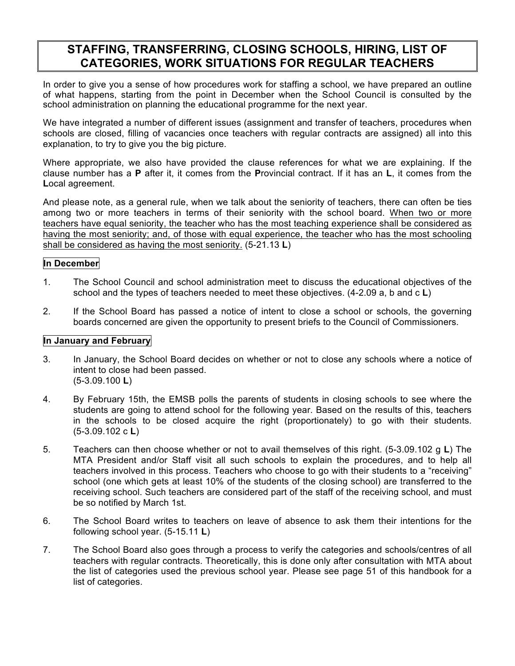# **STAFFING, TRANSFERRING, CLOSING SCHOOLS, HIRING, LIST OF CATEGORIES, WORK SITUATIONS FOR REGULAR TEACHERS**

In order to give you a sense of how procedures work for staffing a school, we have prepared an outline of what happens, starting from the point in December when the School Council is consulted by the school administration on planning the educational programme for the next year.

We have integrated a number of different issues (assignment and transfer of teachers, procedures when schools are closed, filling of vacancies once teachers with regular contracts are assigned) all into this explanation, to try to give you the big picture.

Where appropriate, we also have provided the clause references for what we are explaining. If the clause number has a **P** after it, it comes from the **P**rovincial contract. If it has an **L**, it comes from the **L**ocal agreement.

And please note, as a general rule, when we talk about the seniority of teachers, there can often be ties among two or more teachers in terms of their seniority with the school board. When two or more teachers have equal seniority, the teacher who has the most teaching experience shall be considered as having the most seniority; and, of those with equal experience, the teacher who has the most schooling shall be considered as having the most seniority. (5-21.13 **L**)

### **In December**

- 1. The School Council and school administration meet to discuss the educational objectives of the school and the types of teachers needed to meet these objectives. (4-2.09 a, b and c **L**)
- 2. If the School Board has passed a notice of intent to close a school or schools, the governing boards concerned are given the opportunity to present briefs to the Council of Commissioners.

#### **In January and February**

- 3. In January, the School Board decides on whether or not to close any schools where a notice of intent to close had been passed. (5-3.09.100 **L**)
- 4. By February 15th, the EMSB polls the parents of students in closing schools to see where the students are going to attend school for the following year. Based on the results of this, teachers in the schools to be closed acquire the right (proportionately) to go with their students. (5-3.09.102 c **L**)
- 5. Teachers can then choose whether or not to avail themselves of this right. (5-3.09.102 g **L**) The MTA President and/or Staff visit all such schools to explain the procedures, and to help all teachers involved in this process. Teachers who choose to go with their students to a "receiving" school (one which gets at least 10% of the students of the closing school) are transferred to the receiving school. Such teachers are considered part of the staff of the receiving school, and must be so notified by March 1st.
- 6. The School Board writes to teachers on leave of absence to ask them their intentions for the following school year. (5-15.11 **L**)
- 7. The School Board also goes through a process to verify the categories and schools/centres of all teachers with regular contracts. Theoretically, this is done only after consultation with MTA about the list of categories used the previous school year. Please see page 51 of this handbook for a list of categories.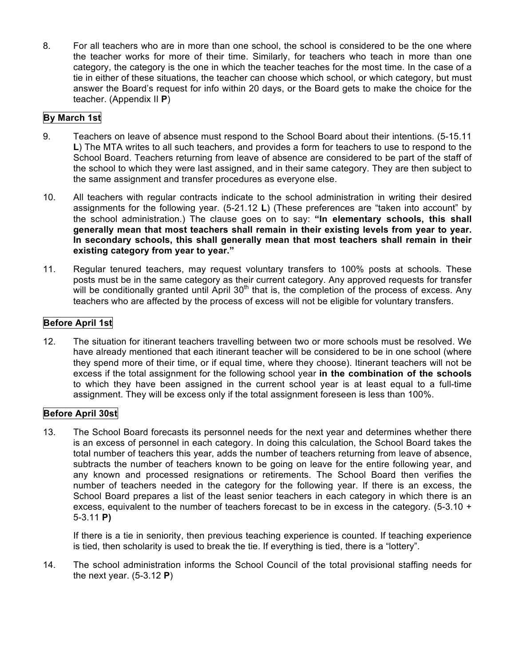8. For all teachers who are in more than one school, the school is considered to be the one where the teacher works for more of their time. Similarly, for teachers who teach in more than one category, the category is the one in which the teacher teaches for the most time. In the case of a tie in either of these situations, the teacher can choose which school, or which category, but must answer the Board's request for info within 20 days, or the Board gets to make the choice for the teacher. (Appendix II **P**)

## **By March 1st**

- 9. Teachers on leave of absence must respond to the School Board about their intentions. (5-15.11 **L**) The MTA writes to all such teachers, and provides a form for teachers to use to respond to the School Board. Teachers returning from leave of absence are considered to be part of the staff of the school to which they were last assigned, and in their same category. They are then subject to the same assignment and transfer procedures as everyone else.
- 10. All teachers with regular contracts indicate to the school administration in writing their desired assignments for the following year. (5-21.12 **L**) (These preferences are "taken into account" by the school administration.) The clause goes on to say: **"In elementary schools, this shall generally mean that most teachers shall remain in their existing levels from year to year. In secondary schools, this shall generally mean that most teachers shall remain in their existing category from year to year."**
- 11. Regular tenured teachers, may request voluntary transfers to 100% posts at schools. These posts must be in the same category as their current category. Any approved requests for transfer will be conditionally granted until April  $30<sup>th</sup>$  that is, the completion of the process of excess. Any teachers who are affected by the process of excess will not be eligible for voluntary transfers.

## **Before April 1st**

12. The situation for itinerant teachers travelling between two or more schools must be resolved. We have already mentioned that each itinerant teacher will be considered to be in one school (where they spend more of their time, or if equal time, where they choose). Itinerant teachers will not be excess if the total assignment for the following school year **in the combination of the schools** to which they have been assigned in the current school year is at least equal to a full-time assignment. They will be excess only if the total assignment foreseen is less than 100%.

## **Before April 30st**

13. The School Board forecasts its personnel needs for the next year and determines whether there is an excess of personnel in each category. In doing this calculation, the School Board takes the total number of teachers this year, adds the number of teachers returning from leave of absence, subtracts the number of teachers known to be going on leave for the entire following year, and any known and processed resignations or retirements. The School Board then verifies the number of teachers needed in the category for the following year. If there is an excess, the School Board prepares a list of the least senior teachers in each category in which there is an excess, equivalent to the number of teachers forecast to be in excess in the category.  $(5-3.10 +$ 5-3.11 **P)**

If there is a tie in seniority, then previous teaching experience is counted. If teaching experience is tied, then scholarity is used to break the tie. If everything is tied, there is a "lottery".

14. The school administration informs the School Council of the total provisional staffing needs for the next year. (5-3.12 **P**)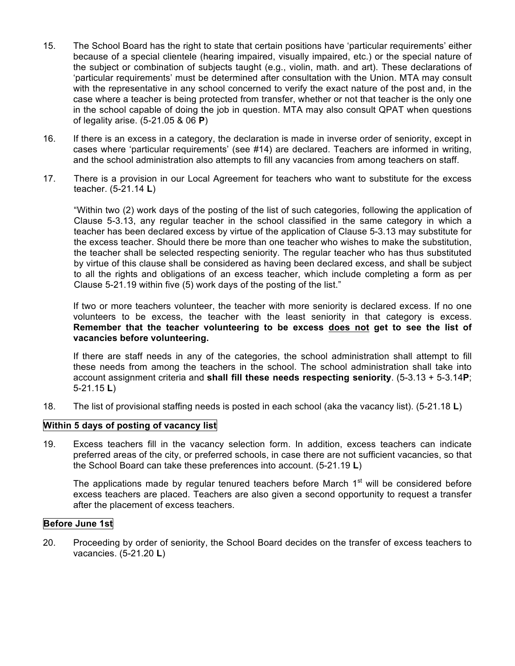- 15. The School Board has the right to state that certain positions have 'particular requirements' either because of a special clientele (hearing impaired, visually impaired, etc.) or the special nature of the subject or combination of subjects taught (e.g., violin, math. and art). These declarations of 'particular requirements' must be determined after consultation with the Union. MTA may consult with the representative in any school concerned to verify the exact nature of the post and, in the case where a teacher is being protected from transfer, whether or not that teacher is the only one in the school capable of doing the job in question. MTA may also consult QPAT when questions of legality arise. (5-21.05 & 06 **P**)
- 16. If there is an excess in a category, the declaration is made in inverse order of seniority, except in cases where 'particular requirements' (see #14) are declared. Teachers are informed in writing, and the school administration also attempts to fill any vacancies from among teachers on staff.
- 17. There is a provision in our Local Agreement for teachers who want to substitute for the excess teacher. (5-21.14 **L**)

"Within two (2) work days of the posting of the list of such categories, following the application of Clause 5-3.13, any regular teacher in the school classified in the same category in which a teacher has been declared excess by virtue of the application of Clause 5-3.13 may substitute for the excess teacher. Should there be more than one teacher who wishes to make the substitution, the teacher shall be selected respecting seniority. The regular teacher who has thus substituted by virtue of this clause shall be considered as having been declared excess, and shall be subject to all the rights and obligations of an excess teacher, which include completing a form as per Clause 5-21.19 within five (5) work days of the posting of the list."

If two or more teachers volunteer, the teacher with more seniority is declared excess. If no one volunteers to be excess, the teacher with the least seniority in that category is excess. **Remember that the teacher volunteering to be excess does not get to see the list of vacancies before volunteering.**

If there are staff needs in any of the categories, the school administration shall attempt to fill these needs from among the teachers in the school. The school administration shall take into account assignment criteria and **shall fill these needs respecting seniority**. (5-3.13 + 5-3.14**P**; 5-21.15 **L**)

18. The list of provisional staffing needs is posted in each school (aka the vacancy list). (5-21.18 **L**)

#### **Within 5 days of posting of vacancy list**

19. Excess teachers fill in the vacancy selection form. In addition, excess teachers can indicate preferred areas of the city, or preferred schools, in case there are not sufficient vacancies, so that the School Board can take these preferences into account. (5-21.19 **L**)

The applications made by regular tenured teachers before March  $1<sup>st</sup>$  will be considered before excess teachers are placed. Teachers are also given a second opportunity to request a transfer after the placement of excess teachers.

## **Before June 1st**

20. Proceeding by order of seniority, the School Board decides on the transfer of excess teachers to vacancies. (5-21.20 **L**)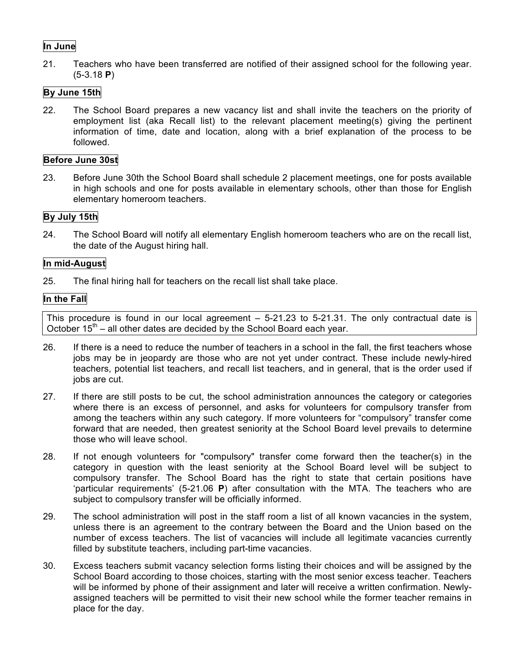## **In June**

21. Teachers who have been transferred are notified of their assigned school for the following year. (5-3.18 **P**)

## **By June 15th**

22. The School Board prepares a new vacancy list and shall invite the teachers on the priority of employment list (aka Recall list) to the relevant placement meeting(s) giving the pertinent information of time, date and location, along with a brief explanation of the process to be followed.

#### **Before June 30st**

23. Before June 30th the School Board shall schedule 2 placement meetings, one for posts available in high schools and one for posts available in elementary schools, other than those for English elementary homeroom teachers.

### **By July 15th**

24. The School Board will notify all elementary English homeroom teachers who are on the recall list, the date of the August hiring hall.

#### **In mid-August**

25. The final hiring hall for teachers on the recall list shall take place.

### **In the Fall**

This procedure is found in our local agreement – 5-21.23 to 5-21.31. The only contractual date is October  $15<sup>th</sup>$  – all other dates are decided by the School Board each year.

- 26. If there is a need to reduce the number of teachers in a school in the fall, the first teachers whose jobs may be in jeopardy are those who are not yet under contract. These include newly-hired teachers, potential list teachers, and recall list teachers, and in general, that is the order used if jobs are cut.
- 27. If there are still posts to be cut, the school administration announces the category or categories where there is an excess of personnel, and asks for volunteers for compulsory transfer from among the teachers within any such category. If more volunteers for "compulsory" transfer come forward that are needed, then greatest seniority at the School Board level prevails to determine those who will leave school.
- 28. If not enough volunteers for "compulsory" transfer come forward then the teacher(s) in the category in question with the least seniority at the School Board level will be subject to compulsory transfer. The School Board has the right to state that certain positions have 'particular requirements' (5-21.06 **P**) after consultation with the MTA. The teachers who are subject to compulsory transfer will be officially informed.
- 29. The school administration will post in the staff room a list of all known vacancies in the system, unless there is an agreement to the contrary between the Board and the Union based on the number of excess teachers. The list of vacancies will include all legitimate vacancies currently filled by substitute teachers, including part-time vacancies.
- 30. Excess teachers submit vacancy selection forms listing their choices and will be assigned by the School Board according to those choices, starting with the most senior excess teacher. Teachers will be informed by phone of their assignment and later will receive a written confirmation. Newlyassigned teachers will be permitted to visit their new school while the former teacher remains in place for the day.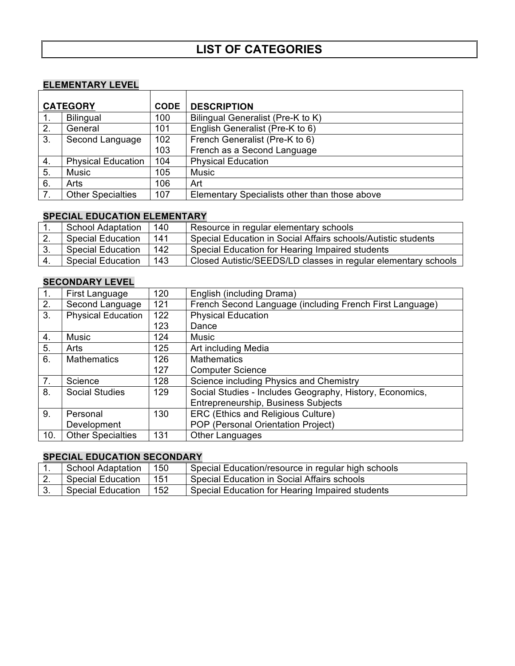# **ELEMENTARY LEVEL**

| <b>ELEMENTARY LEVEL</b> |                           |             |                                               |  |
|-------------------------|---------------------------|-------------|-----------------------------------------------|--|
|                         |                           |             |                                               |  |
| <b>CATEGORY</b>         |                           | <b>CODE</b> | <b>DESCRIPTION</b>                            |  |
| 1.                      | <b>Bilingual</b>          | 100         | Bilingual Generalist (Pre-K to K)             |  |
| 2.                      | General                   | 101         | English Generalist (Pre-K to 6)               |  |
| 3.                      | Second Language           | 102         | French Generalist (Pre-K to 6)                |  |
|                         |                           | 103         | French as a Second Language                   |  |
| 4.                      | <b>Physical Education</b> | 104         | <b>Physical Education</b>                     |  |
| 5.                      | Music                     | 105         | Music                                         |  |
| 6.                      | Arts                      | 106         | Art                                           |  |
| 7 <sub>1</sub>          | <b>Other Specialties</b>  | 107         | Elementary Specialists other than those above |  |

## **SPECIAL EDUCATION ELEMENTARY**

|     | School Adaptation        | 140 | Resource in regular elementary schools                         |
|-----|--------------------------|-----|----------------------------------------------------------------|
|     | <b>Special Education</b> | 141 | Special Education in Social Affairs schools/Autistic students  |
|     | <b>Special Education</b> | 142 | Special Education for Hearing Impaired students                |
| ۱4. | <b>Special Education</b> | 143 | Closed Autistic/SEEDS/LD classes in regular elementary schools |

## **SECONDARY LEVEL**

| $\overline{1}$ . | First Language            | 120 | English (including Drama)                                |
|------------------|---------------------------|-----|----------------------------------------------------------|
| $\overline{2}$ . | Second Language           | 121 | French Second Language (including French First Language) |
| 3 <sub>1</sub>   | <b>Physical Education</b> | 122 | <b>Physical Education</b>                                |
|                  |                           | 123 | Dance                                                    |
| 4.               | <b>Music</b>              | 124 | <b>Music</b>                                             |
| 5.               | Arts                      | 125 | Art including Media                                      |
| 6.               | <b>Mathematics</b>        | 126 | <b>Mathematics</b>                                       |
|                  |                           | 127 | <b>Computer Science</b>                                  |
| 7.               | Science                   | 128 | Science including Physics and Chemistry                  |
| 8.               | <b>Social Studies</b>     | 129 | Social Studies - Includes Geography, History, Economics, |
|                  |                           |     | Entrepreneurship, Business Subjects                      |
| 9.               | Personal                  | 130 | ERC (Ethics and Religious Culture)                       |
|                  | Development               |     | POP (Personal Orientation Project)                       |
| 10.              | <b>Other Specialties</b>  | 131 | <b>Other Languages</b>                                   |

#### **SPECIAL EDUCATION SECONDARY**

| <b>School Adaptation</b> | 150 | Special Education/resource in regular high schools |
|--------------------------|-----|----------------------------------------------------|
| <b>Special Education</b> | 151 | Special Education in Social Affairs schools        |
| <b>Special Education</b> | 152 | Special Education for Hearing Impaired students    |